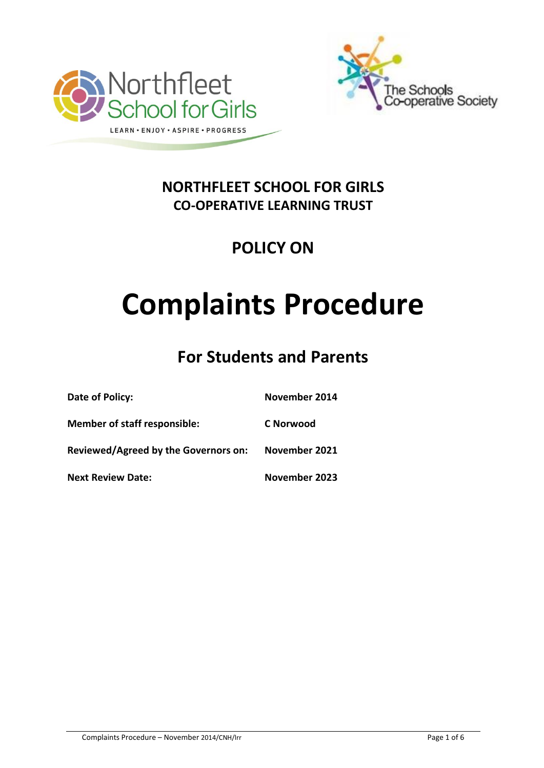



## **NORTHFLEET SCHOOL FOR GIRLS CO-OPERATIVE LEARNING TRUST**

## **POLICY ON**

# **Complaints Procedure**

## **For Students and Parents**

| Date of Policy:                      | November 2014 |
|--------------------------------------|---------------|
| <b>Member of staff responsible:</b>  | C Norwood     |
| Reviewed/Agreed by the Governors on: | November 2021 |
| <b>Next Review Date:</b>             | November 2023 |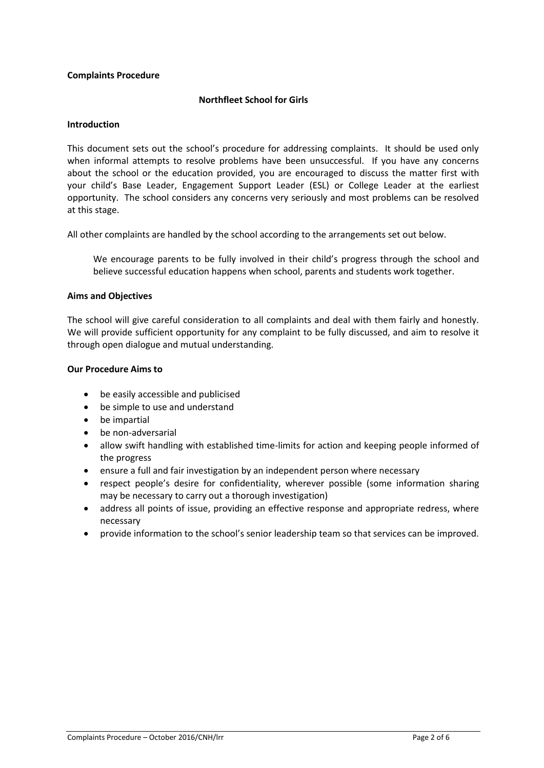#### **Complaints Procedure**

#### **Northfleet School for Girls**

#### **Introduction**

This document sets out the school's procedure for addressing complaints. It should be used only when informal attempts to resolve problems have been unsuccessful. If you have any concerns about the school or the education provided, you are encouraged to discuss the matter first with your child's Base Leader, Engagement Support Leader (ESL) or College Leader at the earliest opportunity. The school considers any concerns very seriously and most problems can be resolved at this stage.

All other complaints are handled by the school according to the arrangements set out below.

We encourage parents to be fully involved in their child's progress through the school and believe successful education happens when school, parents and students work together.

#### **Aims and Objectives**

The school will give careful consideration to all complaints and deal with them fairly and honestly. We will provide sufficient opportunity for any complaint to be fully discussed, and aim to resolve it through open dialogue and mutual understanding.

#### **Our Procedure Aims to**

- be easily accessible and publicised
- be simple to use and understand
- be impartial
- be non-adversarial
- allow swift handling with established time-limits for action and keeping people informed of the progress
- ensure a full and fair investigation by an independent person where necessary
- respect people's desire for confidentiality, wherever possible (some information sharing may be necessary to carry out a thorough investigation)
- address all points of issue, providing an effective response and appropriate redress, where necessary
- provide information to the school's senior leadership team so that services can be improved.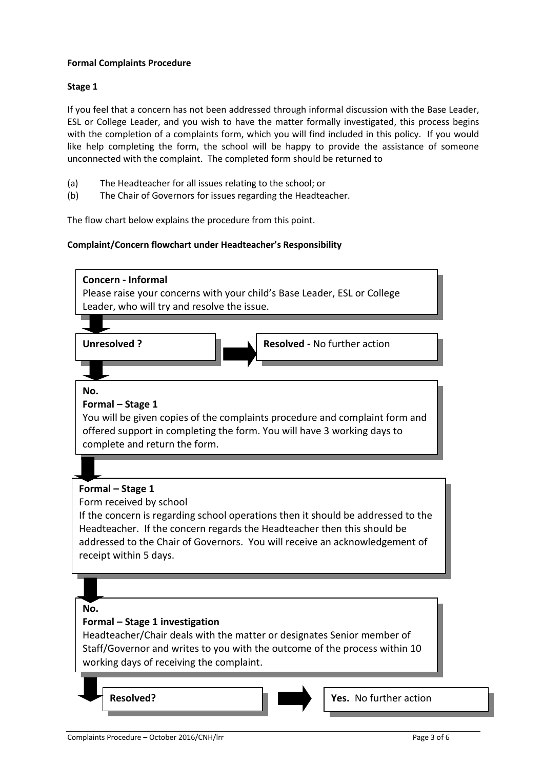#### **Formal Complaints Procedure**

#### **Stage 1**

If you feel that a concern has not been addressed through informal discussion with the Base Leader, ESL or College Leader, and you wish to have the matter formally investigated, this process begins with the completion of a complaints form, which you will find included in this policy. If you would like help completing the form, the school will be happy to provide the assistance of someone unconnected with the complaint. The completed form should be returned to

- (a) The Headteacher for all issues relating to the school; or
- (b) The Chair of Governors for issues regarding the Headteacher.

The flow chart below explains the procedure from this point.

#### **Complaint/Concern flowchart under Headteacher's Responsibility**

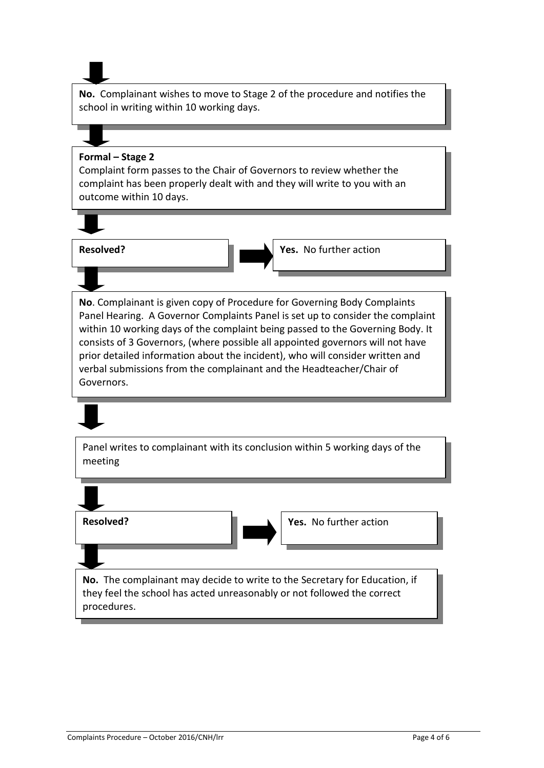**No.** Complainant wishes to move to Stage 2 of the procedure and notifies the school in writing within 10 working days.

#### **Formal – Stage 2**

Complaint form passes to the Chair of Governors to review whether the complaint has been properly dealt with and they will write to you with an outcome within 10 days.



**Resolved? The COVID-10 IN THE VES.** No further action

**No**. Complainant is given copy of Procedure for Governing Body Complaints Panel Hearing. A Governor Complaints Panel is set up to consider the complaint within 10 working days of the complaint being passed to the Governing Body. It consists of 3 Governors, (where possible all appointed governors will not have prior detailed information about the incident), who will consider written and verbal submissions from the complainant and the Headteacher/Chair of Governors.

Panel writes to complainant with its conclusion within 5 working days of the meeting

**No.** The complainant may decide to write to the Secretary for Education, if they feel the school has acted unreasonably or not followed the correct procedures. **Resolved? The COVID-10 COVID-10 Tes.** No further action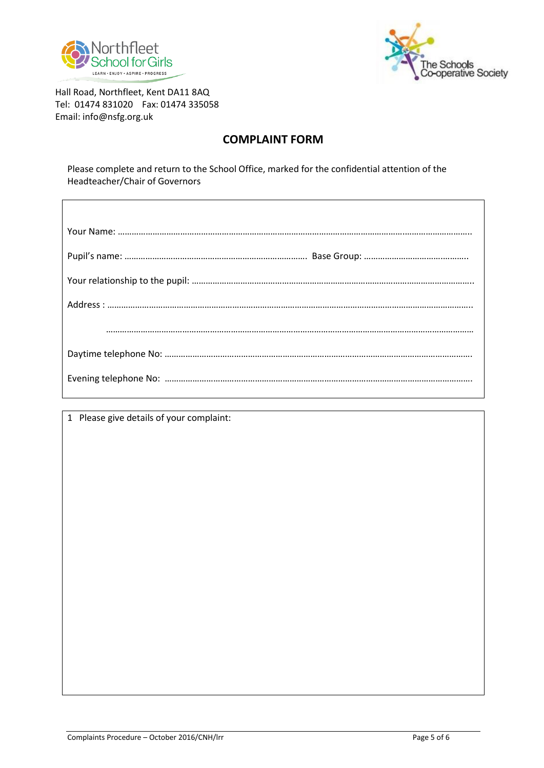



Hall Road, Northfleet, Kent DA11 8AQ Tel: 01474 831020 Fax: 01474 335058 Email: info@nsfg.org.uk

### **COMPLAINT FORM**

Please complete and return to the School Office, marked for the confidential attention of the Headteacher/Chair of Governors

1 Please give details of your complaint: